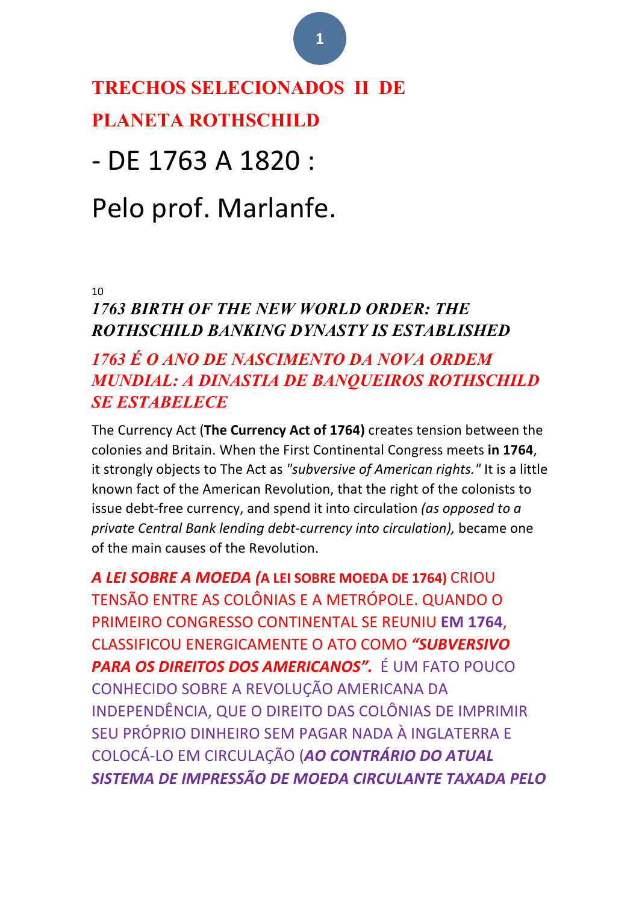# **TRECHOS SELECIONADOS II DE**

# **PLANETA ROTHSCHILD**

# - DE 1763 A 1820 :

# Pelo prof. Marlanfe.

#### 10

# *1763 BIRTH OF THE NEW WORLD ORDER: THE ROTHSCHILD BANKING DYNASTY IS ESTABLISHED*

# *1763 É O ANO DE NASCIMENTO DA NOVA ORDEM MUNDIAL: A DINASTIA DE BANQUEIROS ROTHSCHILD SE ESTABELECE*

The Currency Act (The Currency Act of 1764) creates tension between the colonies and Britain. When the First Continental Congress meets in 1764, it strongly objects to The Act as "subversive of American rights." It is a little known fact of the American Revolution, that the right of the colonists to issue debt-free currency, and spend it into circulation (as opposed to a *private Central Bank lending debt-currency into circulation),* became one of the main causes of the Revolution.

*A LEI SOBRE A MOEDA (***A LEI SOBRE MOEDA DE 1764)** CRIOU TENSÃO ENTRE AS COLÔNIAS E A METRÓPOLE. QUANDO O **PRIMEIRO CONGRESSO CONTINENTAL SE REUNIU EM 1764,** CLASSIFICOU ENERGICAMENTE O ATO COMO *"SUBVERSIVO*  **PARA OS DIREITOS DOS AMERICANOS".** É UM FATO POUCO CONHECIDO SOBRE A REVOLUÇÃO AMERICANA DA INDEPENDÊNCIA, QUE O DIREITO DAS COLÔNIAS DE IMPRIMIR SEU PRÓPRIO DINHEIRO SEM PAGAR NADA À INGLATERRA E COLOCÁ-LO EM CIRCULAÇÃO (*AO CONTRÁRIO DO ATUAL*  **SISTEMA DE IMPRESSÃO DE MOEDA CIRCULANTE TAXADA PELO**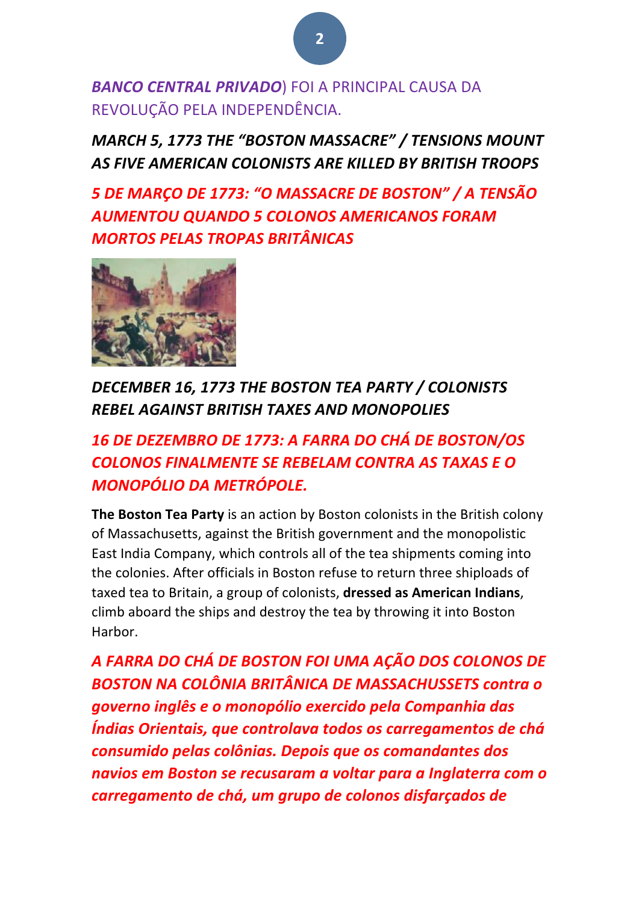**BANCO CENTRAL PRIVADO**) FOI A PRINCIPAL CAUSA DA REVOLUÇÃO PELA INDEPENDÊNCIA.

*MARCH 5, 1773 THE "BOSTON MASSACRE" / TENSIONS MOUNT* AS FIVE AMERICAN COLONISTS ARE KILLED BY BRITISH TROOPS

*5 DE MARÇO DE 1773: "O MASSACRE DE BOSTON" / A TENSÃO AUMENTOU QUANDO 5 COLONOS AMERICANOS FORAM MORTOS PELAS TROPAS BRITÂNICAS*



#### DECEMBER 16, 1773 THE BOSTON TEA PARTY / COLONISTS *REBEL AGAINST BRITISH TAXES AND MONOPOLIES*

# *16 DE DEZEMBRO DE 1773: A FARRA DO CHÁ DE BOSTON/OS*  **COLONOS FINALMENTE SE REBELAM CONTRA AS TAXAS F O** *MONOPÓLIO DA METRÓPOLE.*

**The Boston Tea Party** is an action by Boston colonists in the British colony of Massachusetts, against the British government and the monopolistic East India Company, which controls all of the tea shipments coming into the colonies. After officials in Boston refuse to return three shiploads of taxed tea to Britain, a group of colonists, **dressed as American Indians**, climb aboard the ships and destroy the tea by throwing it into Boston Harbor.

*A FARRA DO CHÁ DE BOSTON FOI UMA AÇÃO DOS COLONOS DE BOSTON NA COLÔNIA BRITÂNICA DE MASSACHUSSETS contra o governo inglês e o monopólio exercido pela Companhia das Índias Orientais, que controlava todos os carregamentos de chá consumido pelas colônias. Depois que os comandantes dos*  navios em Boston se recusaram a voltar para a Inglaterra com o *carregamento de chá, um grupo de colonos disfarçados de*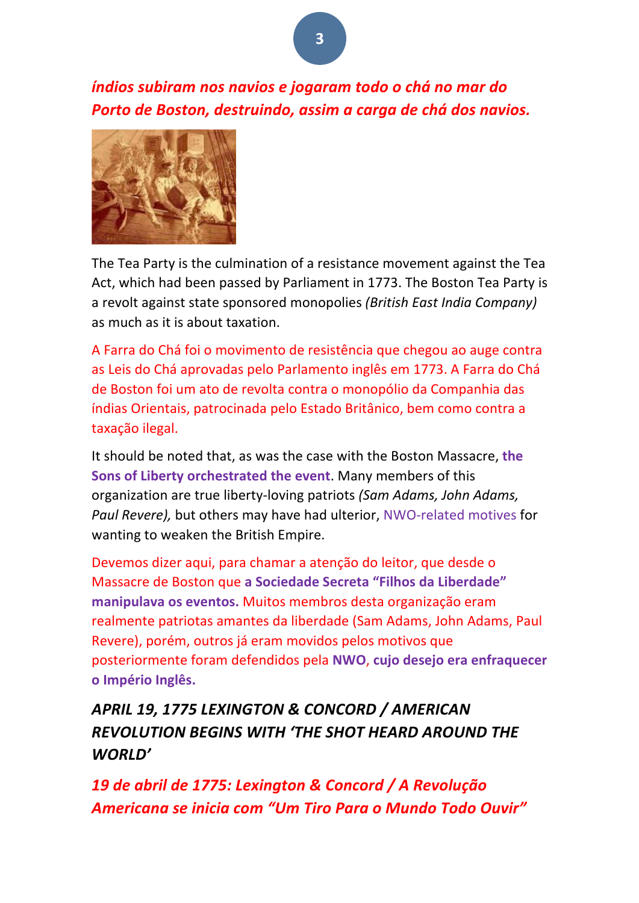*índios subiram nos navios e jogaram todo o chá no mar do Porto de Boston, destruindo, assim a carga de chá dos navios.*



The Tea Party is the culmination of a resistance movement against the Tea Act, which had been passed by Parliament in 1773. The Boston Tea Party is a revolt against state sponsored monopolies (British East India Company) as much as it is about taxation.

A Farra do Chá foi o movimento de resistência que chegou ao auge contra as Leis do Chá aprovadas pelo Parlamento inglês em 1773. A Farra do Chá de Boston foi um ato de revolta contra o monopólio da Companhia das índias Orientais, patrocinada pelo Estado Britânico, bem como contra a taxação ilegal.

It should be noted that, as was the case with the Boston Massacre, the **Sons of Liberty orchestrated the event**. Many members of this organization are true liberty-loving patriots (Sam Adams, John Adams, *Paul Revere),* but others may have had ulterior, NWO-related motives for wanting to weaken the British Empire.

Devemos dizer aqui, para chamar a atenção do leitor, que desde o Massacre de Boston que a Sociedade Secreta "Filhos da Liberdade" manipulava os eventos. Muitos membros desta organização eram realmente patriotas amantes da liberdade (Sam Adams, John Adams, Paul Revere), porém, outros já eram movidos pelos motivos que posteriormente foram defendidos pela NWO, cujo desejo era enfraquecer **o Império Inglês.**

# *APRIL 19, 1775 LEXINGTON & CONCORD / AMERICAN REVOLUTION BEGINS WITH 'THE SHOT HEARD AROUND THE WORLD'*

19 de abril de 1775: Lexington & Concord / A Revolução *Americana se inicia com "Um Tiro Para o Mundo Todo Ouvir"*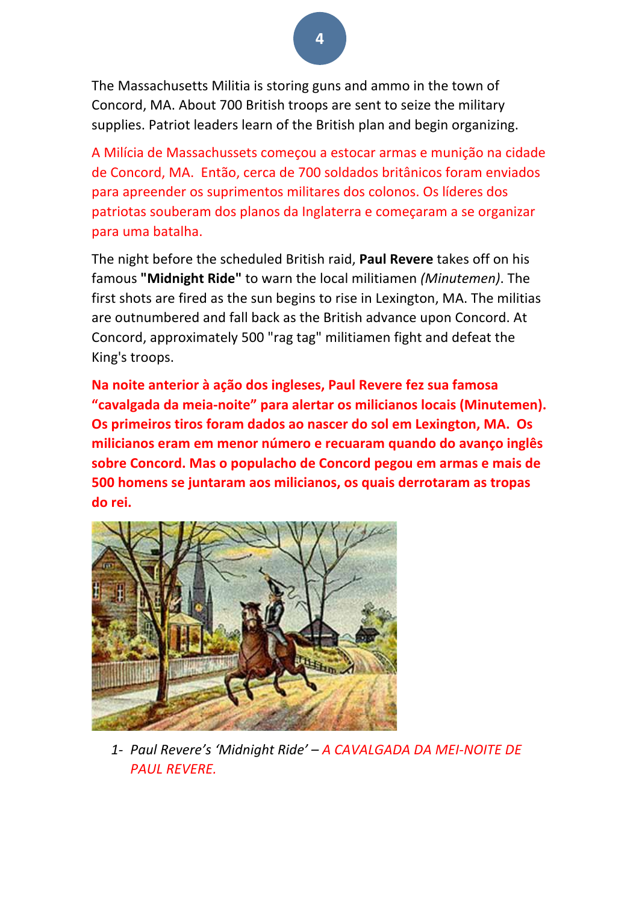The Massachusetts Militia is storing guns and ammo in the town of Concord, MA. About 700 British troops are sent to seize the military supplies. Patriot leaders learn of the British plan and begin organizing.

A Milícia de Massachussets começou a estocar armas e munição na cidade de Concord, MA. Então, cerca de 700 soldados britânicos foram enviados para apreender os suprimentos militares dos colonos. Os líderes dos patriotas souberam dos planos da Inglaterra e começaram a se organizar para uma batalha.

The night before the scheduled British raid, **Paul Revere** takes off on his famous **"Midnight Ride"** to warn the local militiamen *(Minutemen)*. The first shots are fired as the sun begins to rise in Lexington, MA. The militias are outnumbered and fall back as the British advance upon Concord. At Concord, approximately 500 "rag tag" militiamen fight and defeat the King's troops.

**Na noite anterior à ação dos ingleses, Paul Revere fez sua famosa** "cavalgada da meia-noite" para alertar os milicianos locais (Minutemen). Os primeiros tiros foram dados ao nascer do sol em Lexington, MA. Os milicianos eram em menor número e recuaram quando do avanço inglês sobre Concord. Mas o populacho de Concord pegou em armas e mais de **500 homens se juntaram aos milicianos, os quais derrotaram as tropas do rei.**



1- Paul Revere's 'Midnight Ride' - A CAVALGADA DA MEI-NOITE DE *PAUL REVERE.*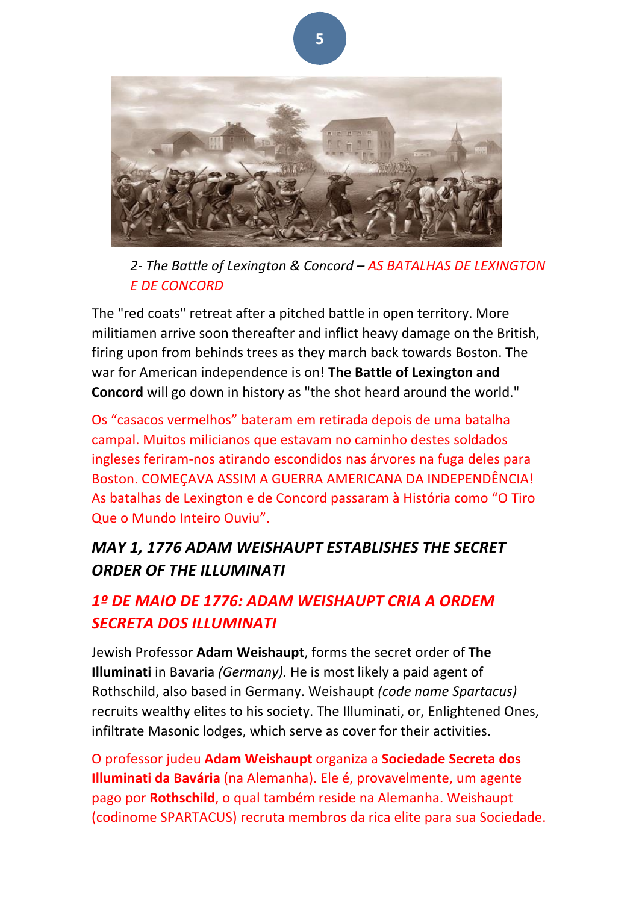

2- The Battle of Lexington & Concord – AS BATALHAS DE LEXINGTON *E DE CONCORD*

The "red coats" retreat after a pitched battle in open territory. More militiamen arrive soon thereafter and inflict heavy damage on the British, firing upon from behinds trees as they march back towards Boston. The war for American independence is on! **The Battle of Lexington and Concord** will go down in history as "the shot heard around the world."

Os "casacos vermelhos" bateram em retirada depois de uma batalha campal. Muitos milicianos que estavam no caminho destes soldados ingleses feriram-nos atirando escondidos nas árvores na fuga deles para Boston. COMEÇAVA ASSIM A GUERRA AMERICANA DA INDEPENDÊNCIA! As batalhas de Lexington e de Concord passaram à História como "O Tiro Que o Mundo Inteiro Ouviu".

### *MAY 1, 1776 ADAM WEISHAUPT ESTABLISHES THE SECRET* **ORDER OF THE ILLUMINATI**

#### **1º DE MAIO DE 1776: ADAM WEISHAUPT CRIA A ORDEM** *SECRETA DOS ILLUMINATI*

Jewish Professor Adam Weishaupt, forms the secret order of The **Illuminati** in Bavaria *(Germany)*. He is most likely a paid agent of Rothschild, also based in Germany. Weishaupt (code name Spartacus) recruits wealthy elites to his society. The Illuminati, or, Enlightened Ones, infiltrate Masonic lodges, which serve as cover for their activities.

O professor judeu Adam Weishaupt organiza a Sociedade Secreta dos **Illuminati da Bavária** (na Alemanha). Ele é, provavelmente, um agente pago por **Rothschild**, o qual também reside na Alemanha. Weishaupt (codinome SPARTACUS) recruta membros da rica elite para sua Sociedade.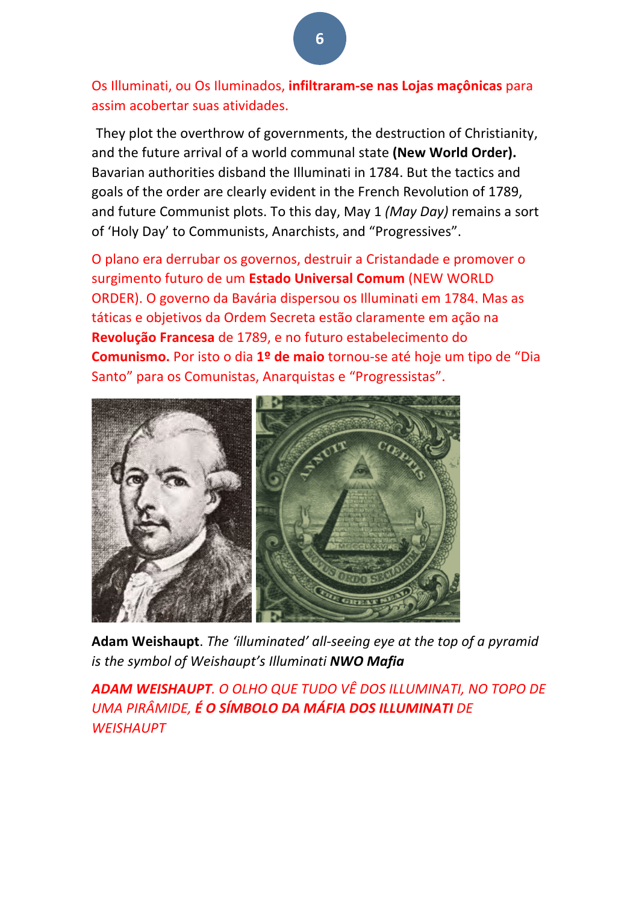Os Illuminati, ou Os Iluminados, infiltraram-se nas Lojas maçônicas para assim acobertar suas atividades.

They plot the overthrow of governments, the destruction of Christianity, and the future arrival of a world communal state (New World Order). Bavarian authorities disband the Illuminati in 1784. But the tactics and goals of the order are clearly evident in the French Revolution of 1789, and future Communist plots. To this day, May 1 *(May Day)* remains a sort of 'Holy Day' to Communists, Anarchists, and "Progressives".

O plano era derrubar os governos, destruir a Cristandade e promover o surgimento futuro de um Estado Universal Comum (NEW WORLD ORDER). O governo da Bavária dispersou os Illuminati em 1784. Mas as táticas e objetivos da Ordem Secreta estão claramente em ação na **Revolução Francesa** de 1789, e no futuro estabelecimento do **Comunismo.** Por isto o dia 1º de maio tornou-se até hoje um tipo de "Dia Santo" para os Comunistas, Anarquistas e "Progressistas".



Adam Weishaupt. The 'illuminated' all-seeing eye at the top of a pyramid *is the symbol of Weishaupt's Illuminati NWO Mafia* 

*ADAM WEISHAUPT. O OLHO QUE TUDO VÊ DOS ILLUMINATI, NO TOPO DE*  **UMA PIRÂMIDE, É O SÍMBOLO DA MÁFIA DOS ILLUMINATI** DE *WEISHAUPT*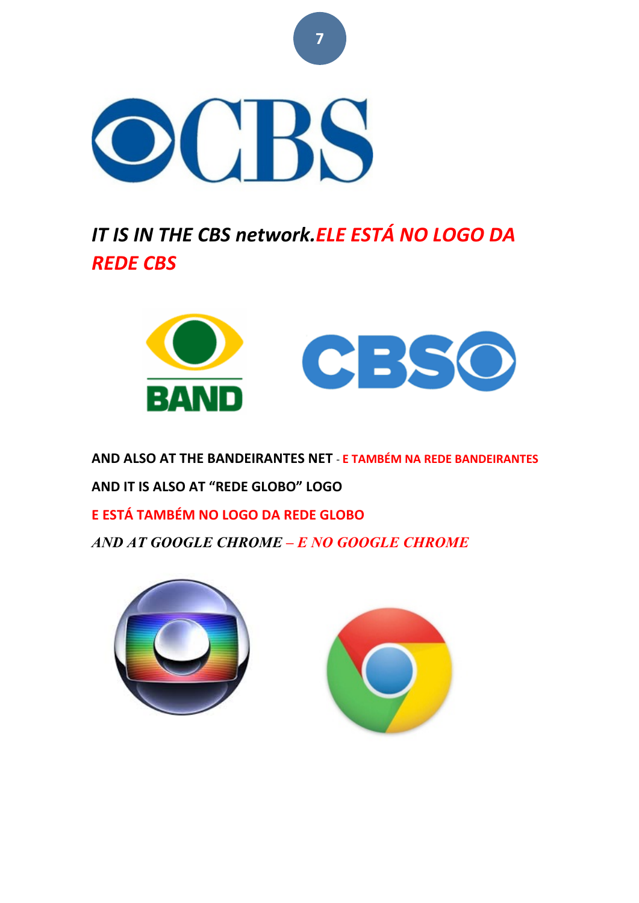



**IT IS IN THE CBS network.ELE ESTÁ NO LOGO DA** *REDE CBS*



AND ALSO AT THE BANDEIRANTES NET - E TAMBÉM NA REDE BANDEIRANTES **AND IT IS ALSO AT "REDE GLOBO" LOGO E ESTÁ TAMBÉM NO LOGO DA REDE GLOBO** *AND AT GOOGLE CHROME – E NO GOOGLE CHROME*



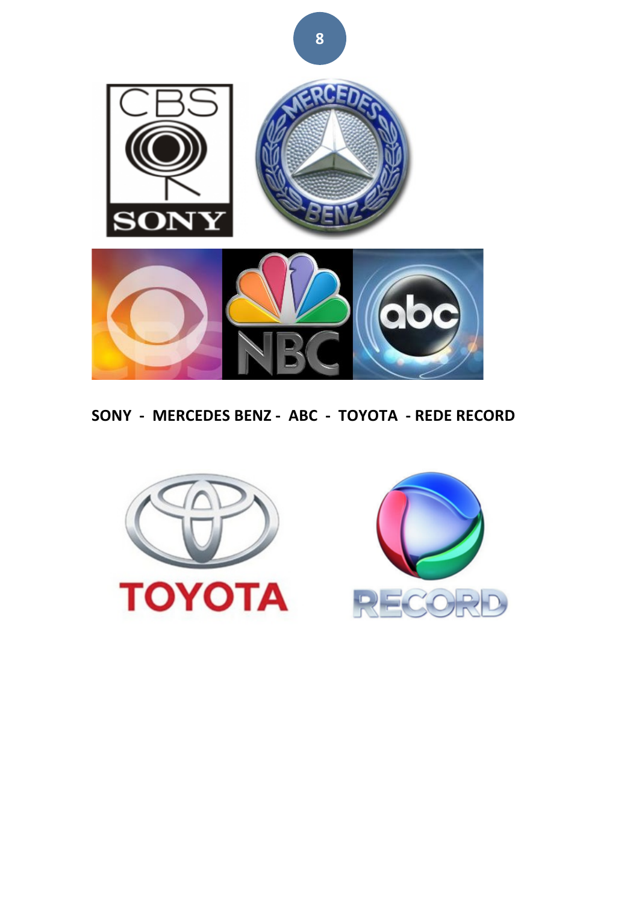

SONY - MERCEDES BENZ - ABC - TOYOTA - REDE RECORD

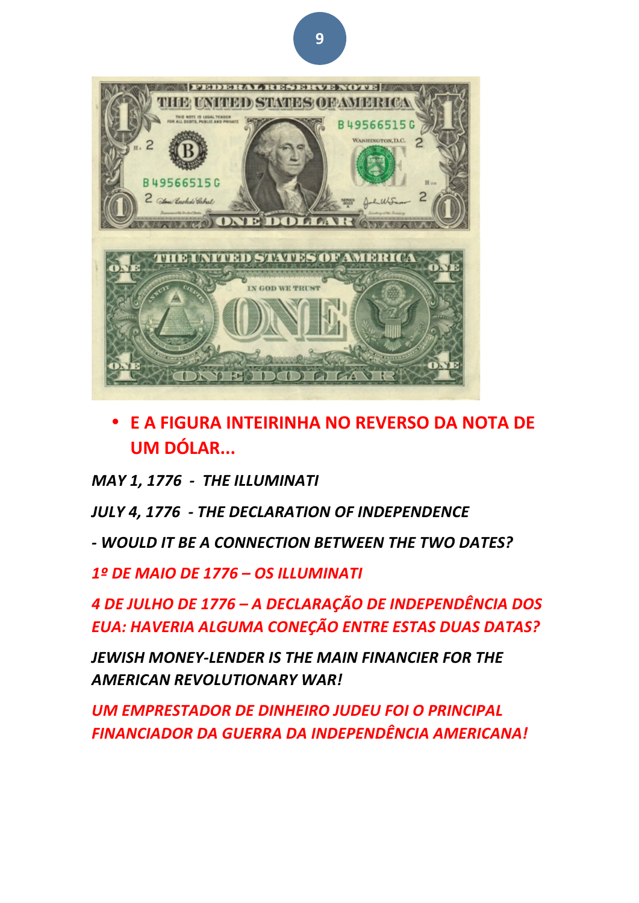

**• E A FIGURA INTEIRINHA NO REVERSO DA NOTA DE UM DÓLAR...**

*MAY 1, 1776 - THE ILLUMINATI* 

*JULY 4, 1776 - THE DECLARATION OF INDEPENDENCE*

*- WOULD IT BE A CONNECTION BETWEEN THE TWO DATES?*

*1º DE MAIO DE 1776 – OS ILLUMINATI*

*4 DE JULHO DE 1776 – A DECLARAÇÃO DE INDEPENDÊNCIA DOS*  **EUA: HAVERIA ALGUMA CONEÇÃO ENTRE ESTAS DUAS DATAS?** 

**JEWISH MONEY-LENDER IS THE MAIN FINANCIER FOR THE** *AMERICAN REVOLUTIONARY WAR!*

**UM EMPRESTADOR DE DINHEIRO JUDEU FOI O PRINCIPAL** *FINANCIADOR DA GUERRA DA INDEPENDÊNCIA AMERICANA!*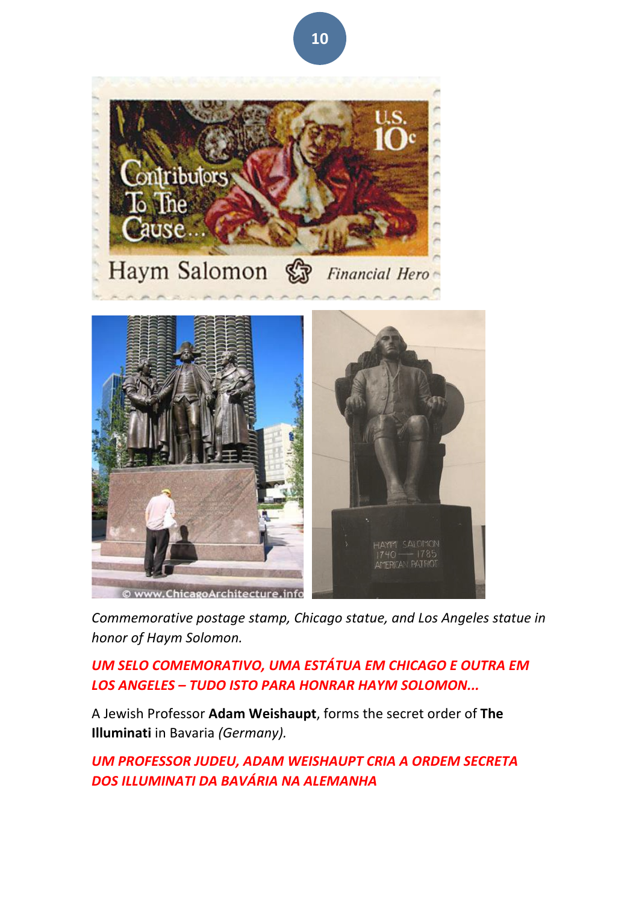

*Commemorative postage stamp, Chicago statue, and Los Angeles statue in honor of Haym Solomon.*

**UM SELO COMEMORATIVO, UMA ESTÁTUA EM CHICAGO E OUTRA EM** *LOS ANGELES – TUDO ISTO PARA HONRAR HAYM SOLOMON...*

A Jewish Professor Adam Weishaupt, forms the secret order of The **Illuminati** in Bavaria *(Germany)*.

UM PROFESSOR JUDEU, ADAM WEISHAUPT CRIA A ORDEM SECRETA *DOS ILLUMINATI DA BAVÁRIA NA ALEMANHA*